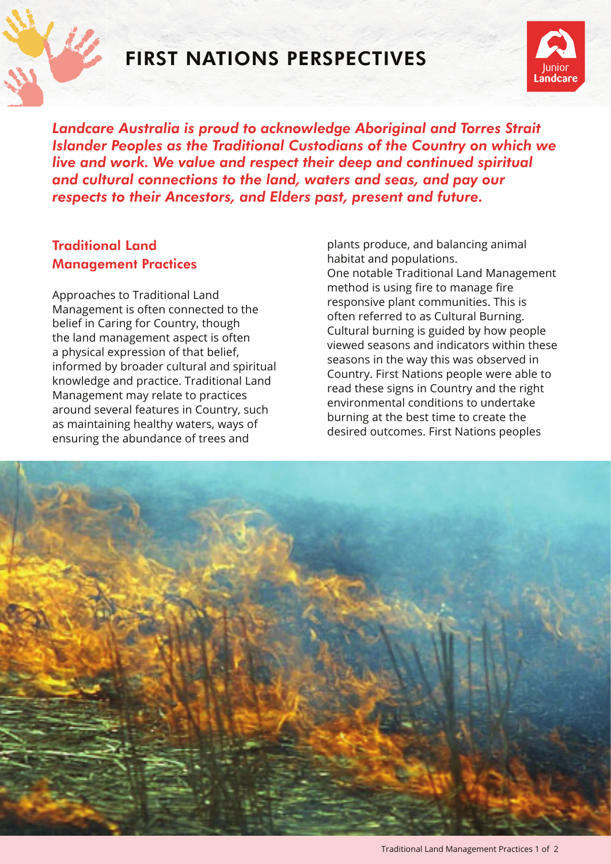

## FIRST NATIONS PERSPECTIVES



*Landcare Australia is proud to acknowledge Aboriginal and Torres Strait Islander Peoples as the Traditional Custodians of the Country on which we live and work. We value and respect their deep and continued spiritual and cultural connections to the land, waters and seas, and pay our respects to their Ancestors, and Elders past, present and future.*

## Traditional Land Management Practices

Approaches to Traditional Land Management is often connected to the belief in Caring for Country, though the land management aspect is often a physical expression of that belief, informed by broader cultural and spiritual knowledge and practice. Traditional Land Management may relate to practices around several features in Country, such as maintaining healthy waters, ways of ensuring the abundance of trees and

plants produce, and balancing animal habitat and populations. One notable Traditional Land Management method is using fire to manage fire responsive plant communities. This is often referred to as Cultural Burning. Cultural burning is guided by how people viewed seasons and indicators within these seasons in the way this was observed in Country. First Nations people were able to read these signs in Country and the right environmental conditions to undertake burning at the best time to create the desired outcomes. First Nations peoples